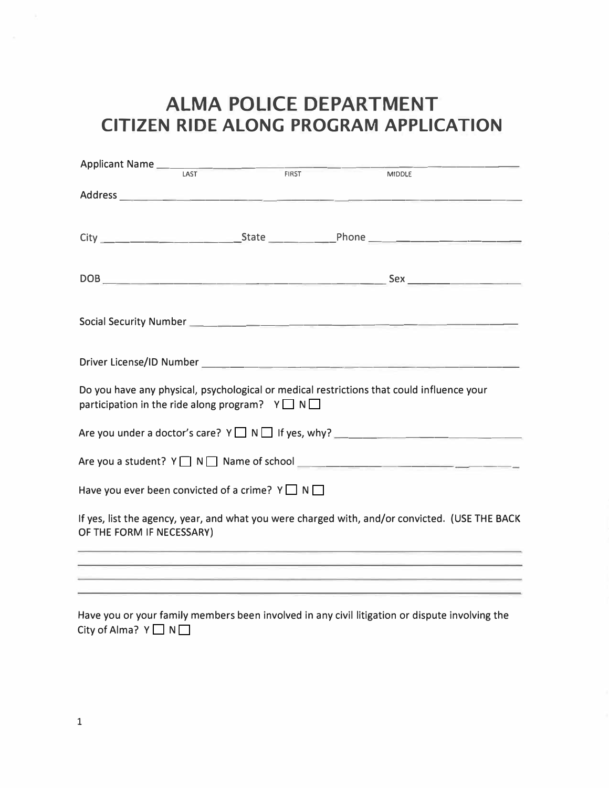## **ALMA POLICE DEPARTMENT CITIZEN RIDE ALONG PROGRAM APPLICATION**

|                                                                                                                                                             | <b>FIRST</b> | <b>MIDDLE</b>                                                                                                                                                                                                                                                                               |
|-------------------------------------------------------------------------------------------------------------------------------------------------------------|--------------|---------------------------------------------------------------------------------------------------------------------------------------------------------------------------------------------------------------------------------------------------------------------------------------------|
|                                                                                                                                                             |              |                                                                                                                                                                                                                                                                                             |
|                                                                                                                                                             |              |                                                                                                                                                                                                                                                                                             |
|                                                                                                                                                             |              |                                                                                                                                                                                                                                                                                             |
|                                                                                                                                                             |              |                                                                                                                                                                                                                                                                                             |
|                                                                                                                                                             |              |                                                                                                                                                                                                                                                                                             |
|                                                                                                                                                             |              |                                                                                                                                                                                                                                                                                             |
|                                                                                                                                                             |              |                                                                                                                                                                                                                                                                                             |
|                                                                                                                                                             |              |                                                                                                                                                                                                                                                                                             |
|                                                                                                                                                             |              |                                                                                                                                                                                                                                                                                             |
| Do you have any physical, psychological or medical restrictions that could influence your<br>participation in the ride along program? $Y \square N \square$ |              |                                                                                                                                                                                                                                                                                             |
|                                                                                                                                                             |              |                                                                                                                                                                                                                                                                                             |
|                                                                                                                                                             |              |                                                                                                                                                                                                                                                                                             |
| Have you ever been convicted of a crime? $Y \square N \square$                                                                                              |              |                                                                                                                                                                                                                                                                                             |
| OF THE FORM IF NECESSARY)                                                                                                                                   |              | If yes, list the agency, year, and what you were charged with, and/or convicted. (USE THE BACK                                                                                                                                                                                              |
|                                                                                                                                                             |              | <u> 1989 - Andrea Andrea Andrea Andrea Andrea Andrea Andrea Andrea Andrea Andrea Andrea Andrea Andrea Andrea Andr</u>                                                                                                                                                                       |
|                                                                                                                                                             |              | <u> 1986 - Jan Harry Harry Harry Harry Harry Harry Harry Harry Harry Harry Harry Harry Harry Harry Harry Harry Harry Harry Harry Harry Harry Harry Harry Harry Harry Harry Harry Harry Harry Harry Harry Harry Harry Harry Harry</u><br><u> 1989 - Jan James James, margolar (h. 1989).</u> |
|                                                                                                                                                             |              |                                                                                                                                                                                                                                                                                             |

Have you or your family members been involved in any civil litigation or dispute involving the City of Alma?  $Y \square N \square$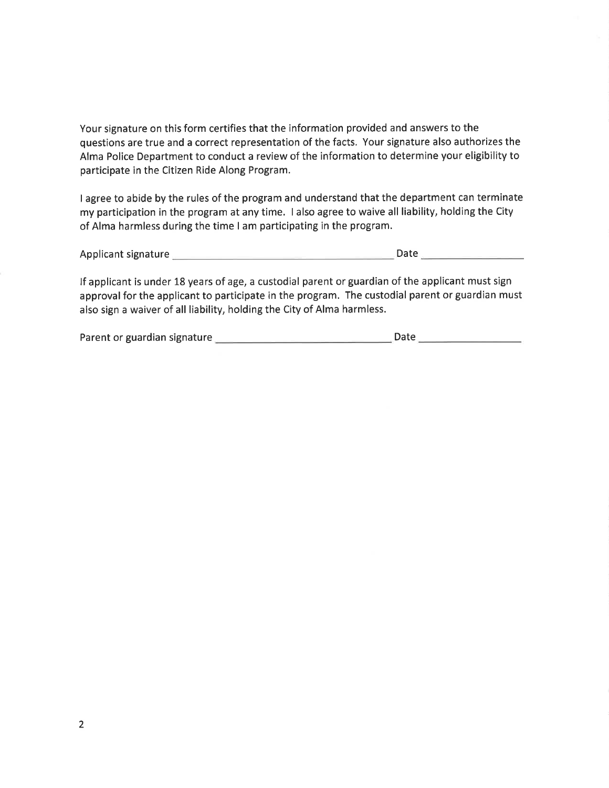Your signature on this form certifies that the information provided and answers to the questions are true and a correct representation of the facts. Your signature also authorizes the Alma Police Department to conduct a review of the information to determine your eligibility to participate in the Citizen Ride Along Program.

I agree to abide by the rules of the program and understand that the department can terminate my participation in the program at any time. I also agree to waive all liability, holding the City of Alma harmless during the time I am participating in the program.

| Applicant signature | Date |
|---------------------|------|
|                     |      |

If applicant is under 18 years of age, a custodial parent or guardian of the applicant must sign approval for the applicant to participate in the program. The custodial parent or guardian must also sign a waiver of all liability, holding the City of Alma harmless.

| Parent or guardian signature | Date |
|------------------------------|------|
|                              |      |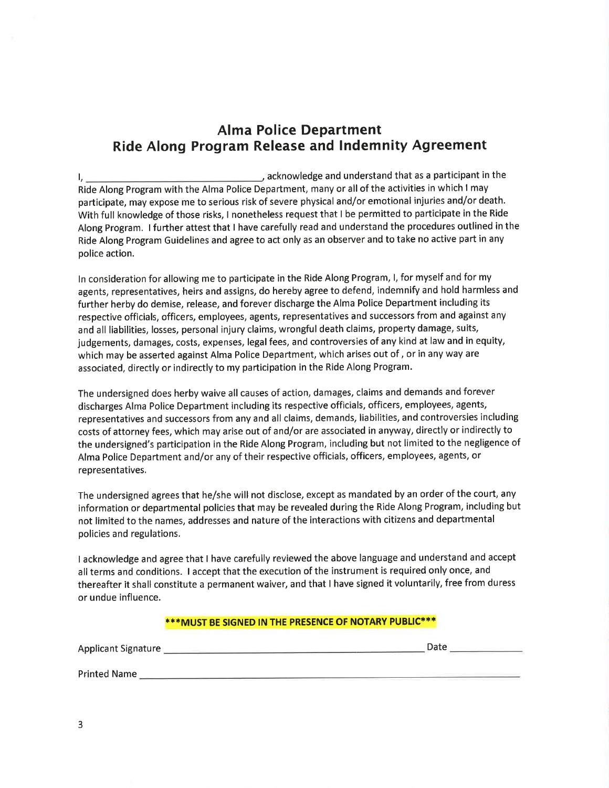## **Alma Police Department** Ride Along Program Release and Indemnity Agreement

acknowledge and understand that as a participant in the  $\mathsf{L}$ Ride Along Program with the Alma Police Department, many or all of the activities in which I may participate, may expose me to serious risk of severe physical and/or emotional injuries and/or death. With full knowledge of those risks, I nonetheless request that I be permitted to participate in the Ride Along Program. I further attest that I have carefully read and understand the procedures outlined in the Ride Along Program Guidelines and agree to act only as an observer and to take no active part in any police action.

In consideration for allowing me to participate in the Ride Along Program, I, for myself and for my agents, representatives, heirs and assigns, do hereby agree to defend, indemnify and hold harmless and further herby do demise, release, and forever discharge the Alma Police Department including its respective officials, officers, employees, agents, representatives and successors from and against any and all liabilities, losses, personal injury claims, wrongful death claims, property damage, suits, judgements, damages, costs, expenses, legal fees, and controversies of any kind at law and in equity, which may be asserted against Alma Police Department, which arises out of, or in any way are associated, directly or indirectly to my participation in the Ride Along Program.

The undersigned does herby waive all causes of action, damages, claims and demands and forever discharges Alma Police Department including its respective officials, officers, employees, agents, representatives and successors from any and all claims, demands, liabilities, and controversies including costs of attorney fees, which may arise out of and/or are associated in anyway, directly or indirectly to the undersigned's participation in the Ride Along Program, including but not limited to the negligence of Alma Police Department and/or any of their respective officials, officers, employees, agents, or representatives.

The undersigned agrees that he/she will not disclose, except as mandated by an order of the court, any information or departmental policies that may be revealed during the Ride Along Program, including but not limited to the names, addresses and nature of the interactions with citizens and departmental policies and regulations.

I acknowledge and agree that I have carefully reviewed the above language and understand and accept all terms and conditions. I accept that the execution of the instrument is required only once, and thereafter it shall constitute a permanent waiver, and that I have signed it voluntarily, free from duress or undue influence.

## \*\*\* MUST BE SIGNED IN THE PRESENCE OF NOTARY PUBLIC\*\*\*

| Applicant Signature | Date |  |  |
|---------------------|------|--|--|
|                     |      |  |  |
|                     |      |  |  |

3

Printed Name